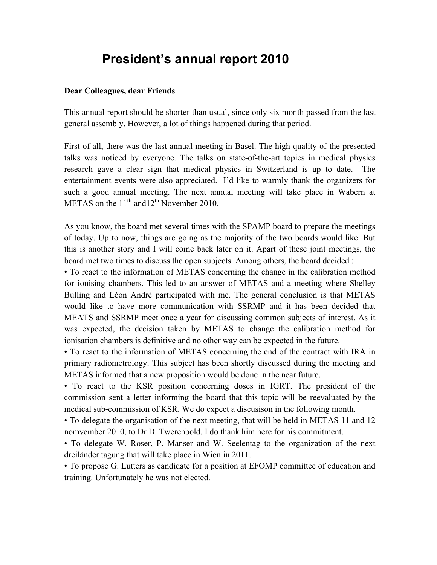## **President's annual report 2010**

## **Dear Colleagues, dear Friends**

This annual report should be shorter than usual, since only six month passed from the last general assembly. However, a lot of things happened during that period.

First of all, there was the last annual meeting in Basel. The high quality of the presented talks was noticed by everyone. The talks on state-of-the-art topics in medical physics research gave a clear sign that medical physics in Switzerland is up to date. The entertainment events were also appreciated. I'd like to warmly thank the organizers for such a good annual meeting. The next annual meeting will take place in Wabern at METAS on the  $11<sup>th</sup>$  and  $12<sup>th</sup>$  November 2010.

As you know, the board met several times with the SPAMP board to prepare the meetings of today. Up to now, things are going as the majority of the two boards would like. But this is another story and I will come back later on it. Apart of these joint meetings, the board met two times to discuss the open subjects. Among others, the board decided :

• To react to the information of METAS concerning the change in the calibration method for ionising chambers. This led to an answer of METAS and a meeting where Shelley Bulling and Léon André participated with me. The general conclusion is that METAS would like to have more communication with SSRMP and it has been decided that MEATS and SSRMP meet once a year for discussing common subjects of interest. As it was expected, the decision taken by METAS to change the calibration method for ionisation chambers is definitive and no other way can be expected in the future.

• To react to the information of METAS concerning the end of the contract with IRA in primary radiometrology. This subject has been shortly discussed during the meeting and METAS informed that a new proposition would be done in the near future.

• To react to the KSR position concerning doses in IGRT. The president of the commission sent a letter informing the board that this topic will be reevaluated by the medical sub-commission of KSR. We do expect a discusison in the following month.

• To delegate the organisation of the next meeting, that will be held in METAS 11 and 12 nomvember 2010, to Dr D. Twerenbold. I do thank him here for his commitment.

• To delegate W. Roser, P. Manser and W. Seelentag to the organization of the next dreiländer tagung that will take place in Wien in 2011.

• To propose G. Lutters as candidate for a position at EFOMP committee of education and training. Unfortunately he was not elected.